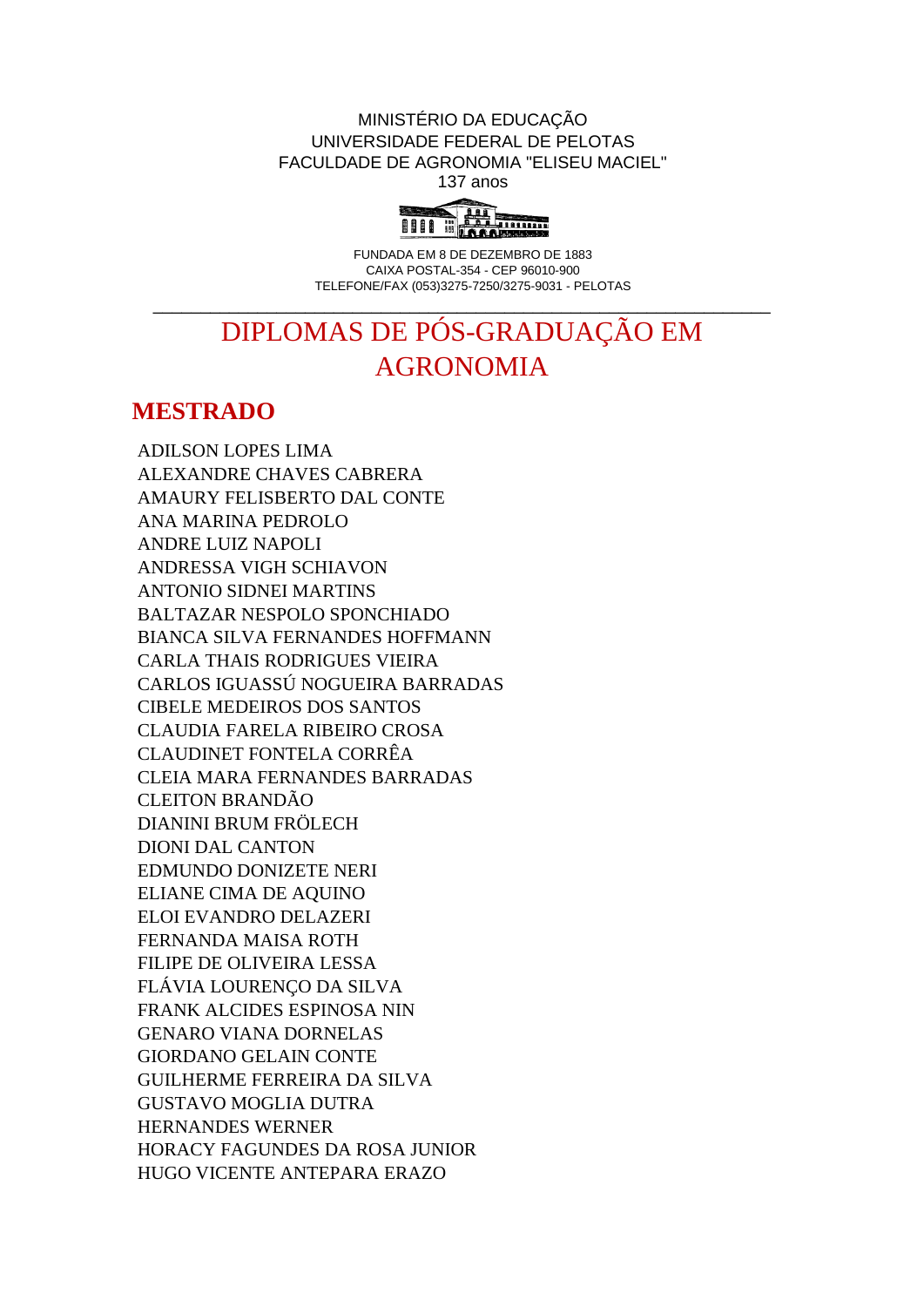MINISTÉRIO DA EDUCAÇÃO UNIVERSIDADE FEDERAL DE PELOTAS FACULDADE DE AGRONOMIA "ELISEU MACIEL" 137 anos



FUNDADA EM 8 DE DEZEMBRO DE 1883 CAIXA POSTAL-354 - CEP 96010-900 TELEFONE/FAX (053)3275-7250/3275-9031 - PELOTAS

## DIPLOMAS DE PÓS-GRADUAÇÃO EM AGRONOMIA

\_\_\_\_\_\_\_\_\_\_\_\_\_\_\_\_\_\_\_\_\_\_\_\_\_\_\_\_\_\_\_\_\_\_\_\_\_\_\_\_\_\_\_\_\_\_\_\_\_\_\_\_\_\_\_\_\_\_\_\_\_\_\_\_\_

## **MESTRADO**

ADILSON LOPES LIMA ALEXANDRE CHAVES CABRERA AMAURY FELISBERTO DAL CONTE ANA MARINA PEDROLO ANDRE LUIZ NAPOLI ANDRESSA VIGH SCHIAVON ANTONIO SIDNEI MARTINS BALTAZAR NESPOLO SPONCHIADO BIANCA SILVA FERNANDES HOFFMANN CARLA THAIS RODRIGUES VIEIRA CARLOS IGUASSÚ NOGUEIRA BARRADAS CIBELE MEDEIROS DOS SANTOS CLAUDIA FARELA RIBEIRO CROSA CLAUDINET FONTELA CORRÊA CLEIA MARA FERNANDES BARRADAS CLEITON BRANDÃO DIANINI BRUM FRÖLECH DIONI DAL CANTON EDMUNDO DONIZETE NERI ELIANE CIMA DE AQUINO ELOI EVANDRO DELAZERI FERNANDA MAISA ROTH FILIPE DE OLIVEIRA LESSA FLÁVIA LOURENÇO DA SILVA FRANK ALCIDES ESPINOSA NIN GENARO VIANA DORNELAS GIORDANO GELAIN CONTE GUILHERME FERREIRA DA SILVA GUSTAVO MOGLIA DUTRA HERNANDES WERNER HORACY FAGUNDES DA ROSA JUNIOR HUGO VICENTE ANTEPARA ERAZO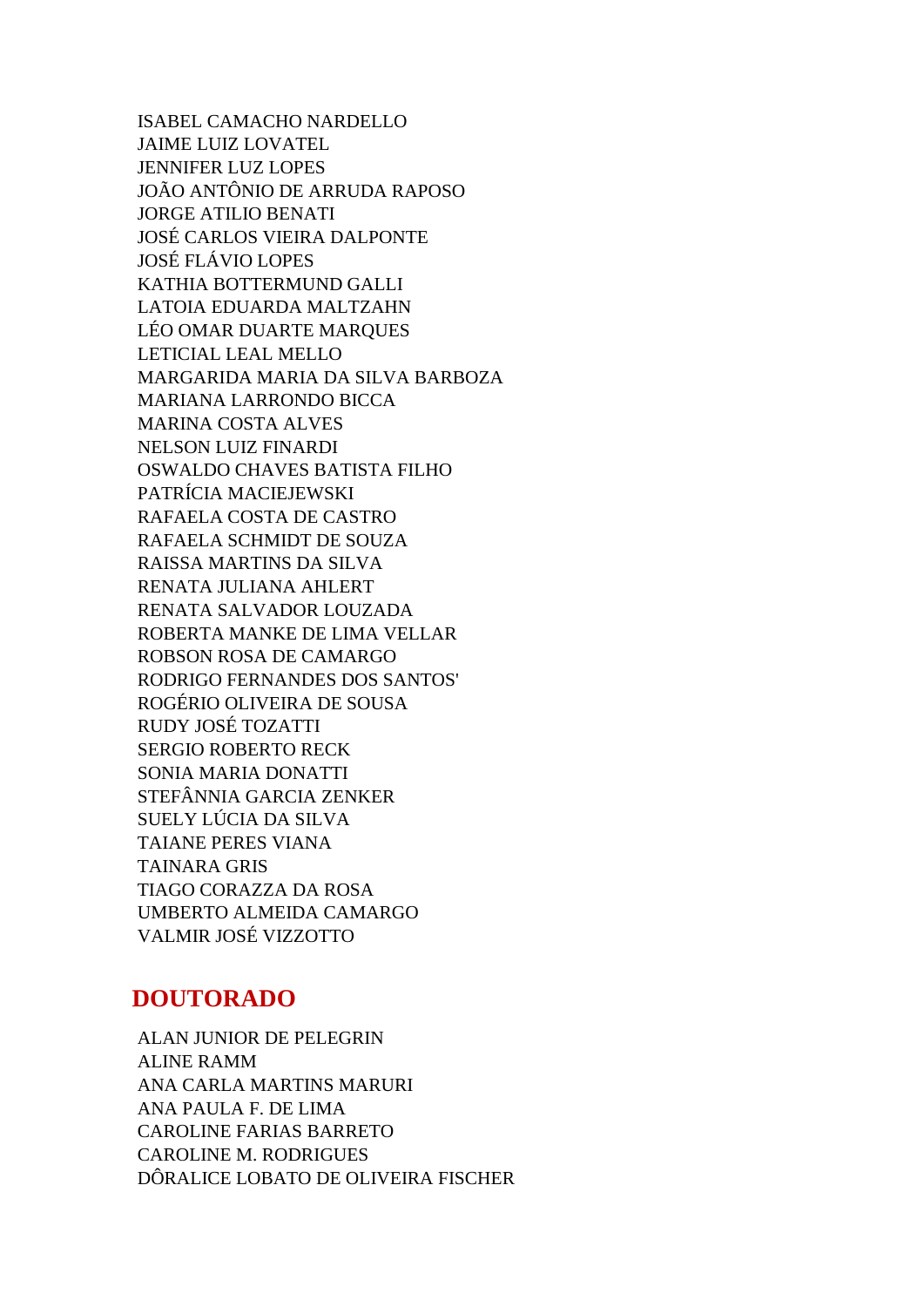ISABEL CAMACHO NARDELLO JAIME LUIZ LOVATEL JENNIFER LUZ LOPES JOÃO ANTÔNIO DE ARRUDA RAPOSO JORGE ATILIO BENATI JOSÉ CARLOS VIEIRA DALPONTE JOSÉ FLÁVIO LOPES KATHIA BOTTERMUND GALLI LATOIA EDUARDA MALTZAHN LÉO OMAR DUARTE MARQUES LETICIAL LEAL MELLO MARGARIDA MARIA DA SILVA BARBOZA MARIANA LARRONDO BICCA MARINA COSTA ALVES NELSON LUIZ FINARDI OSWALDO CHAVES BATISTA FILHO PATRÍCIA MACIEJEWSKI RAFAELA COSTA DE CASTRO RAFAELA SCHMIDT DE SOUZA RAISSA MARTINS DA SILVA RENATA JULIANA AHLERT RENATA SALVADOR LOUZADA ROBERTA MANKE DE LIMA VELLAR ROBSON ROSA DE CAMARGO RODRIGO FERNANDES DOS SANTOS' ROGÉRIO OLIVEIRA DE SOUSA RUDY JOSÉ TOZATTI SERGIO ROBERTO RECK SONIA MARIA DONATTI STEFÂNNIA GARCIA ZENKER SUELY LÚCIA DA SILVA TAIANE PERES VIANA TAINARA GRIS TIAGO CORAZZA DA ROSA UMBERTO ALMEIDA CAMARGO VALMIR JOSÉ VIZZOTTO

## **DOUTORADO**

ALAN JUNIOR DE PELEGRIN ALINE RAMM ANA CARLA MARTINS MARURI ANA PAULA F. DE LIMA CAROLINE FARIAS BARRETO CAROLINE M. RODRIGUES DÔRALICE LOBATO DE OLIVEIRA FISCHER